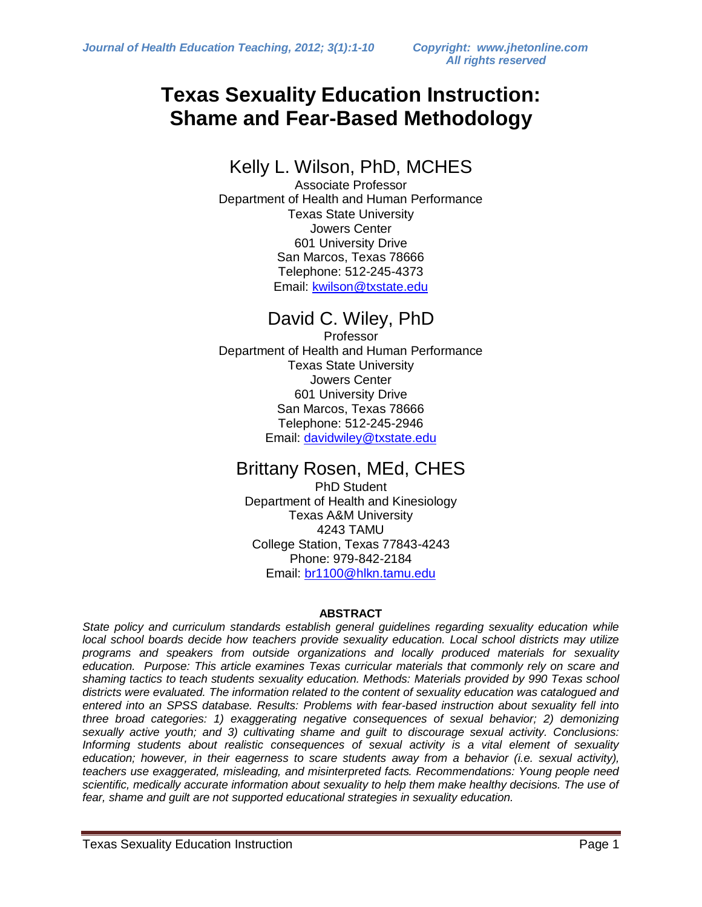## **Texas Sexuality Education Instruction: Shame and Fear-Based Methodology**

## Kelly L. Wilson, PhD, MCHES

Associate Professor Department of Health and Human Performance Texas State University Jowers Center 601 University Drive San Marcos, Texas 78666 Telephone: 512-245-4373 Email: [kwilson@txstate.edu](mailto:kwilson@txstate.edu)

## David C. Wiley, PhD

Professor Department of Health and Human Performance Texas State University Jowers Center 601 University Drive San Marcos, Texas 78666 Telephone: 512-245-2946 Email: [davidwiley@txstate.edu](mailto:davidwiley@txstate.edu)

### Brittany Rosen, MEd, CHES

PhD Student Department of Health and Kinesiology Texas A&M University 4243 TAMU College Station, Texas 77843-4243 Phone: 979-842-2184 Email: [br1100@hlkn.tamu.edu](mailto:br1100@hlkn.tamu.edu)

### **ABSTRACT**

*State policy and curriculum standards establish general guidelines regarding sexuality education while local school boards decide how teachers provide sexuality education. Local school districts may utilize programs and speakers from outside organizations and locally produced materials for sexuality education. Purpose: This article examines Texas curricular materials that commonly rely on scare and shaming tactics to teach students sexuality education. Methods: Materials provided by 990 Texas school districts were evaluated. The information related to the content of sexuality education was catalogued and entered into an SPSS database. Results: Problems with fear-based instruction about sexuality fell into three broad categories: 1) exaggerating negative consequences of sexual behavior; 2) demonizing sexually active youth; and 3) cultivating shame and guilt to discourage sexual activity. Conclusions: Informing students about realistic consequences of sexual activity is a vital element of sexuality education; however, in their eagerness to scare students away from a behavior (i.e. sexual activity), teachers use exaggerated, misleading, and misinterpreted facts. Recommendations: Young people need scientific, medically accurate information about sexuality to help them make healthy decisions. The use of fear, shame and guilt are not supported educational strategies in sexuality education.*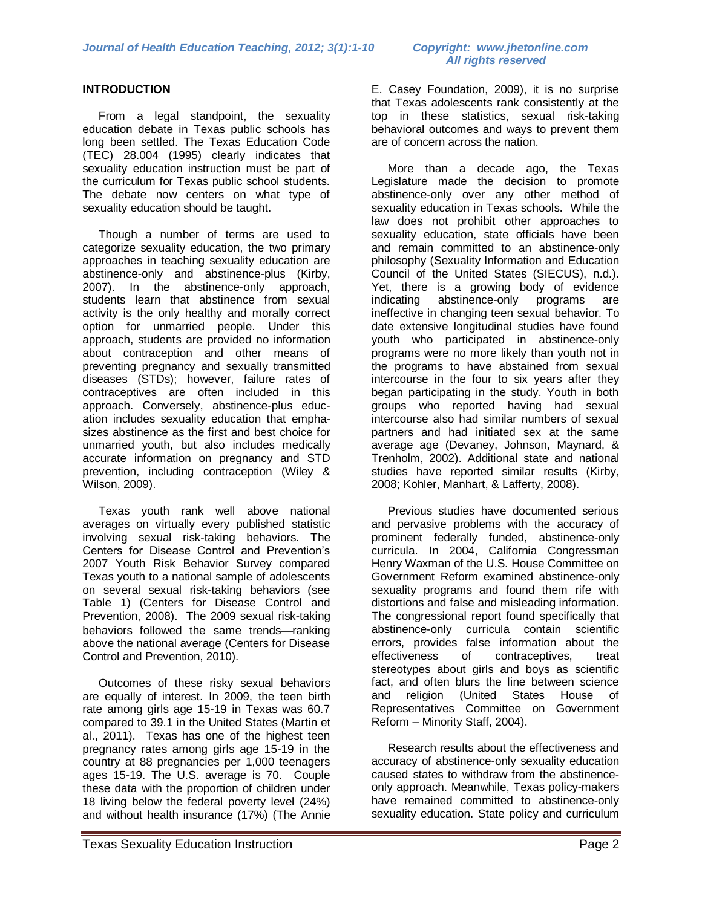### **INTRODUCTION**

From a legal standpoint, the sexuality education debate in Texas public schools has long been settled. The Texas Education Code (TEC) 28.004 (1995) clearly indicates that sexuality education instruction must be part of the curriculum for Texas public school students. The debate now centers on what type of sexuality education should be taught.

 Though a number of terms are used to categorize sexuality education, the two primary approaches in teaching sexuality education are abstinence-only and abstinence-plus (Kirby, 2007). In the abstinence-only approach, students learn that abstinence from sexual activity is the only healthy and morally correct option for unmarried people. Under this approach, students are provided no information about contraception and other means of preventing pregnancy and sexually transmitted diseases (STDs); however, failure rates of contraceptives are often included in this approach. Conversely, abstinence-plus education includes sexuality education that emphasizes abstinence as the first and best choice for unmarried youth, but also includes medically accurate information on pregnancy and STD prevention, including contraception (Wiley & Wilson, 2009).

 Texas youth rank well above national averages on virtually every published statistic involving sexual risk-taking behaviors. The Centers for Disease Control and Prevention's 2007 Youth Risk Behavior Survey compared Texas youth to a national sample of adolescents on several sexual risk-taking behaviors (see Table 1) (Centers for Disease Control and Prevention, 2008). The 2009 sexual risk-taking behaviors followed the same trends-ranking above the national average (Centers for Disease Control and Prevention, 2010).

Outcomes of these risky sexual behaviors are equally of interest. In 2009, the teen birth rate among girls age 15-19 in Texas was 60.7 compared to 39.1 in the United States (Martin et al., 2011). Texas has one of the highest teen pregnancy rates among girls age 15-19 in the country at 88 pregnancies per 1,000 teenagers ages 15-19. The U.S. average is 70. Couple these data with the proportion of children under 18 living below the federal poverty level (24%) and without health insurance (17%) (The Annie

E. Casey Foundation, 2009), it is no surprise that Texas adolescents rank consistently at the top in these statistics, sexual risk-taking behavioral outcomes and ways to prevent them are of concern across the nation.

 More than a decade ago, the Texas Legislature made the decision to promote abstinence-only over any other method of sexuality education in Texas schools. While the law does not prohibit other approaches to sexuality education, state officials have been and remain committed to an abstinence-only philosophy (Sexuality Information and Education Council of the United States (SIECUS), n.d.). Yet, there is a growing body of evidence indicating abstinence-only programs are ineffective in changing teen sexual behavior. To date extensive longitudinal studies have found youth who participated in abstinence-only programs were no more likely than youth not in the programs to have abstained from sexual intercourse in the four to six years after they began participating in the study. Youth in both groups who reported having had sexual intercourse also had similar numbers of sexual partners and had initiated sex at the same average age (Devaney, Johnson, Maynard, & Trenholm, 2002). Additional state and national studies have reported similar results (Kirby, 2008; Kohler, Manhart, & Lafferty, 2008).

 Previous studies have documented serious and pervasive problems with the accuracy of prominent federally funded, abstinence-only curricula. In 2004, California Congressman Henry Waxman of the U.S. House Committee on Government Reform examined abstinence-only sexuality programs and found them rife with distortions and false and misleading information. The congressional report found specifically that abstinence-only curricula contain scientific errors, provides false information about the effectiveness of contraceptives, treat stereotypes about girls and boys as scientific fact, and often blurs the line between science and religion (United States House of Representatives Committee on Government Reform – Minority Staff, 2004).

 Research results about the effectiveness and accuracy of abstinence-only sexuality education caused states to withdraw from the abstinenceonly approach. Meanwhile, Texas policy-makers have remained committed to abstinence-only sexuality education. State policy and curriculum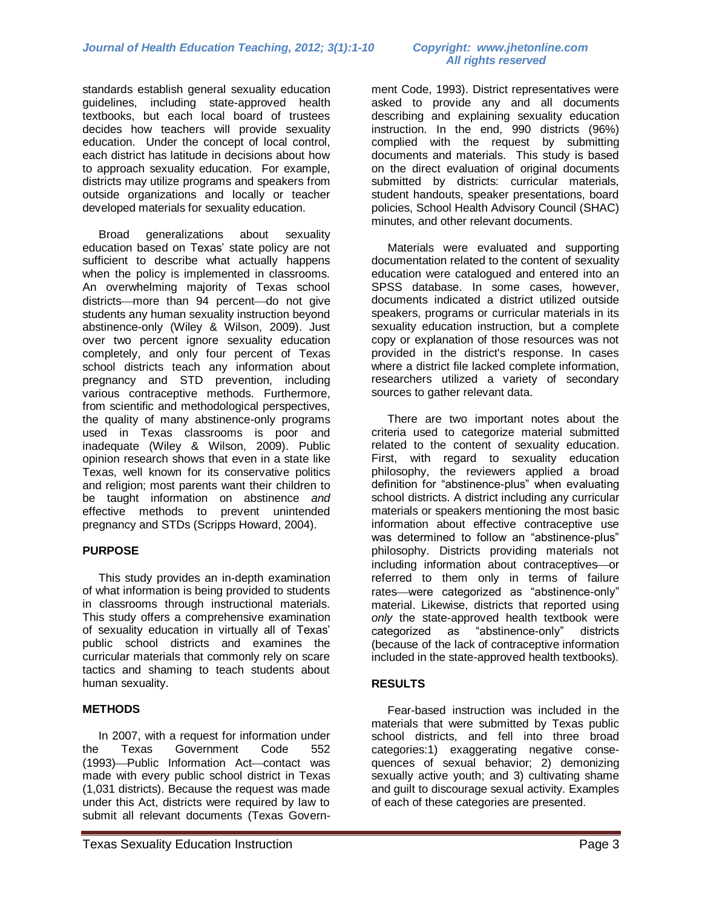standards establish general sexuality education guidelines, including state-approved health textbooks, but each local board of trustees decides how teachers will provide sexuality education. Under the concept of local control, each district has latitude in decisions about how to approach sexuality education. For example, districts may utilize programs and speakers from outside organizations and locally or teacher developed materials for sexuality education.

 Broad generalizations about sexuality education based on Texas' state policy are not sufficient to describe what actually happens when the policy is implemented in classrooms. An overwhelming majority of Texas school districts more than 94 percent do not give students any human sexuality instruction beyond abstinence-only (Wiley & Wilson, 2009). Just over two percent ignore sexuality education completely, and only four percent of Texas school districts teach any information about pregnancy and STD prevention, including various contraceptive methods. Furthermore, from scientific and methodological perspectives, the quality of many abstinence-only programs used in Texas classrooms is poor and inadequate (Wiley & Wilson, 2009). Public opinion research shows that even in a state like Texas, well known for its conservative politics and religion; most parents want their children to be taught information on abstinence *and* effective methods to prevent unintended pregnancy and STDs (Scripps Howard, 2004).

### **PURPOSE**

This study provides an in-depth examination of what information is being provided to students in classrooms through instructional materials. This study offers a comprehensive examination of sexuality education in virtually all of Texas' public school districts and examines the curricular materials that commonly rely on scare tactics and shaming to teach students about human sexuality.

### **METHODS**

In 2007, with a request for information under the Texas Government Code 552 (1993)-Public Information Act-contact was made with every public school district in Texas (1,031 districts). Because the request was made under this Act, districts were required by law to submit all relevant documents (Texas Government Code, 1993). District representatives were asked to provide any and all documents describing and explaining sexuality education instruction. In the end, 990 districts (96%) complied with the request by submitting documents and materials. This study is based on the direct evaluation of original documents submitted by districts: curricular materials, student handouts, speaker presentations, board policies, School Health Advisory Council (SHAC) minutes, and other relevant documents.

 Materials were evaluated and supporting documentation related to the content of sexuality education were catalogued and entered into an SPSS database. In some cases, however, documents indicated a district utilized outside speakers, programs or curricular materials in its sexuality education instruction, but a complete copy or explanation of those resources was not provided in the district's response. In cases where a district file lacked complete information, researchers utilized a variety of secondary sources to gather relevant data.

 There are two important notes about the criteria used to categorize material submitted related to the content of sexuality education. First, with regard to sexuality education philosophy, the reviewers applied a broad definition for "abstinence-plus" when evaluating school districts. A district including any curricular materials or speakers mentioning the most basic information about effective contraceptive use was determined to follow an "abstinence-plus" philosophy. Districts providing materials not including information about contraceptives or referred to them only in terms of failure rates—were categorized as "abstinence-only" material. Likewise, districts that reported using *only* the state-approved health textbook were categorized as "abstinence-only" districts (because of the lack of contraceptive information included in the state-approved health textbooks).

### **RESULTS**

Fear-based instruction was included in the materials that were submitted by Texas public school districts, and fell into three broad categories:1) exaggerating negative consequences of sexual behavior; 2) demonizing sexually active youth; and 3) cultivating shame and guilt to discourage sexual activity. Examples of each of these categories are presented.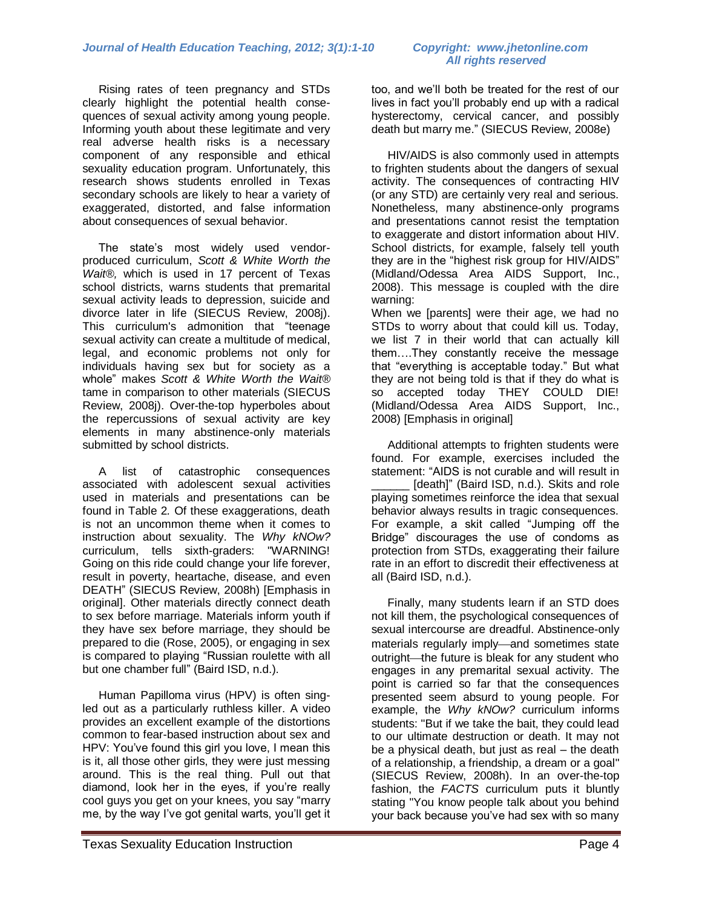Rising rates of teen pregnancy and STDs clearly highlight the potential health consequences of sexual activity among young people. Informing youth about these legitimate and very real adverse health risks is a necessary component of any responsible and ethical sexuality education program. Unfortunately, this research shows students enrolled in Texas secondary schools are likely to hear a variety of exaggerated, distorted, and false information about consequences of sexual behavior.

 The state's most widely used vendorproduced curriculum, *Scott & White Worth the Wait®,* which is used in 17 percent of Texas school districts, warns students that premarital sexual activity leads to depression, suicide and divorce later in life (SIECUS Review, 2008j). This curriculum's admonition that "teenage sexual activity can create a multitude of medical, legal, and economic problems not only for individuals having sex but for society as a whole‖ makes *Scott & White Worth the Wait®* tame in comparison to other materials (SIECUS Review, 2008j). Over-the-top hyperboles about the repercussions of sexual activity are key elements in many abstinence-only materials submitted by school districts.

 A list of catastrophic consequences associated with adolescent sexual activities used in materials and presentations can be found in Table 2*.* Of these exaggerations, death is not an uncommon theme when it comes to instruction about sexuality. The *Why kNOw?* curriculum, tells sixth-graders: "WARNING! Going on this ride could change your life forever, result in poverty, heartache, disease, and even DEATH" (SIECUS Review, 2008h) [Emphasis in original]. Other materials directly connect death to sex before marriage. Materials inform youth if they have sex before marriage, they should be prepared to die (Rose, 2005), or engaging in sex is compared to playing "Russian roulette with all but one chamber full" (Baird ISD, n.d.).

 Human Papilloma virus (HPV) is often singled out as a particularly ruthless killer. A video provides an excellent example of the distortions common to fear-based instruction about sex and HPV: You've found this girl you love, I mean this is it, all those other girls, they were just messing around. This is the real thing. Pull out that diamond, look her in the eyes, if you're really cool guys you get on your knees, you say "marry me, by the way I've got genital warts, you'll get it

# *All rights reserved*

too, and we'll both be treated for the rest of our lives in fact you'll probably end up with a radical hysterectomy, cervical cancer, and possibly death but marry me." (SIECUS Review, 2008e)

 HIV/AIDS is also commonly used in attempts to frighten students about the dangers of sexual activity. The consequences of contracting HIV (or any STD) are certainly very real and serious. Nonetheless, many abstinence-only programs and presentations cannot resist the temptation to exaggerate and distort information about HIV. School districts, for example, falsely tell youth they are in the "highest risk group for HIV/AIDS" (Midland/Odessa Area AIDS Support, Inc., 2008). This message is coupled with the dire warning:

When we [parents] were their age, we had no STDs to worry about that could kill us. Today, we list 7 in their world that can actually kill them….They constantly receive the message that "everything is acceptable today." But what they are not being told is that if they do what is so accepted today THEY COULD DIE! (Midland/Odessa Area AIDS Support, Inc., 2008) [Emphasis in original]

 Additional attempts to frighten students were found. For example, exercises included the statement: "AIDS is not curable and will result in \_\_\_\_\_\_ [death]‖ (Baird ISD, n.d.). Skits and role playing sometimes reinforce the idea that sexual behavior always results in tragic consequences. For example, a skit called "Jumping off the Bridge‖ discourages the use of condoms as protection from STDs, exaggerating their failure rate in an effort to discredit their effectiveness at all (Baird ISD, n.d.).

 Finally, many students learn if an STD does not kill them, the psychological consequences of sexual intercourse are dreadful. Abstinence-only materials regularly imply—and sometimes state outright—the future is bleak for any student who engages in any premarital sexual activity. The point is carried so far that the consequences presented seem absurd to young people. For example, the *Why kNOw?* curriculum informs students: "But if we take the bait, they could lead to our ultimate destruction or death. It may not be a physical death, but just as real – the death of a relationship, a friendship, a dream or a goal" (SIECUS Review, 2008h). In an over-the-top fashion, the *FACTS* curriculum puts it bluntly stating "You know people talk about you behind your back because you've had sex with so many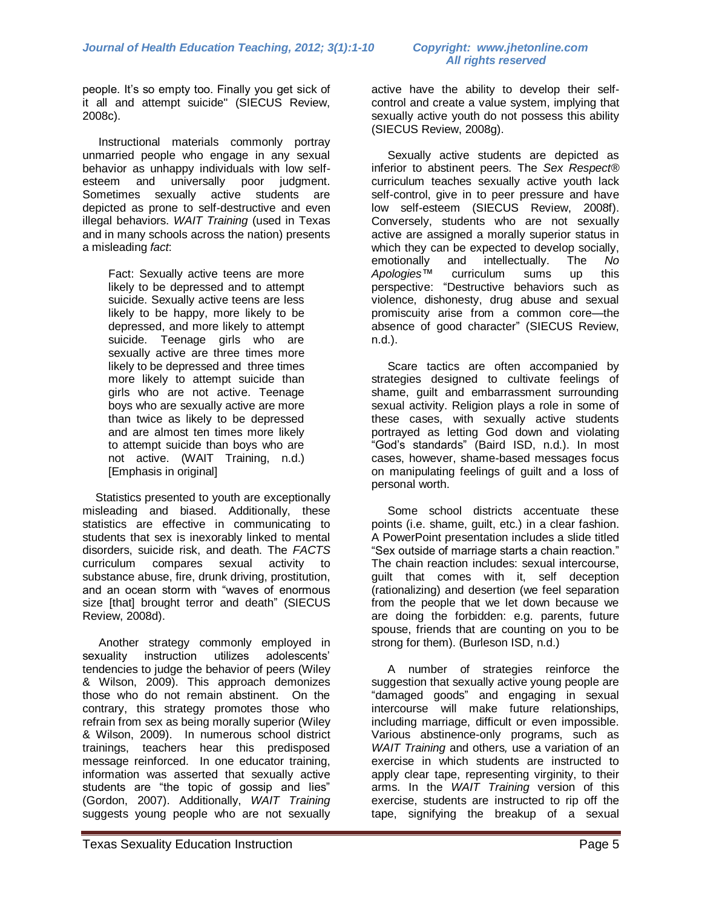people. It's so empty too. Finally you get sick of it all and attempt suicide" (SIECUS Review, 2008c).

 Instructional materials commonly portray unmarried people who engage in any sexual behavior as unhappy individuals with low selfesteem and universally poor judgment. Sometimes sexually active students are depicted as prone to self-destructive and even illegal behaviors. *WAIT Training* (used in Texas and in many schools across the nation) presents a misleading *fact*:

Fact: Sexually active teens are more likely to be depressed and to attempt suicide. Sexually active teens are less likely to be happy, more likely to be depressed, and more likely to attempt suicide. Teenage girls who are sexually active are three times more likely to be depressed and three times more likely to attempt suicide than girls who are not active. Teenage boys who are sexually active are more than twice as likely to be depressed and are almost ten times more likely to attempt suicide than boys who are not active. (WAIT Training, n.d.) [Emphasis in original]

 Statistics presented to youth are exceptionally misleading and biased. Additionally, these statistics are effective in communicating to students that sex is inexorably linked to mental disorders, suicide risk, and death. The *FACTS*  curriculum compares sexual activity to substance abuse, fire, drunk driving, prostitution, and an ocean storm with "waves of enormous size [that] brought terror and death" (SIECUS Review, 2008d).

 Another strategy commonly employed in sexuality instruction utilizes adolescents' tendencies to judge the behavior of peers (Wiley & Wilson, 2009). This approach demonizes those who do not remain abstinent. On the contrary, this strategy promotes those who refrain from sex as being morally superior (Wiley & Wilson, 2009). In numerous school district trainings, teachers hear this predisposed message reinforced. In one educator training, information was asserted that sexually active students are "the topic of gossip and lies" (Gordon, 2007). Additionally, *WAIT Training*  suggests young people who are not sexually active have the ability to develop their selfcontrol and create a value system, implying that sexually active youth do not possess this ability (SIECUS Review, 2008g).

 Sexually active students are depicted as inferior to abstinent peers. The *Sex Respect®* curriculum teaches sexually active youth lack self-control, give in to peer pressure and have low self-esteem (SIECUS Review, 2008f). Conversely, students who are not sexually active are assigned a morally superior status in which they can be expected to develop socially, emotionally and intellectually. The *No Apologies™* curriculum sums up this perspective: "Destructive behaviors such as violence, dishonesty, drug abuse and sexual promiscuity arise from a common core—the absence of good character" (SIECUS Review, n.d.).

 Scare tactics are often accompanied by strategies designed to cultivate feelings of shame, guilt and embarrassment surrounding sexual activity. Religion plays a role in some of these cases, with sexually active students portrayed as letting God down and violating ―God's standards‖ (Baird ISD, n.d.). In most cases, however, shame-based messages focus on manipulating feelings of guilt and a loss of personal worth.

 Some school districts accentuate these points (i.e. shame, guilt, etc.) in a clear fashion. A PowerPoint presentation includes a slide titled "Sex outside of marriage starts a chain reaction." The chain reaction includes: sexual intercourse, guilt that comes with it, self deception (rationalizing) and desertion (we feel separation from the people that we let down because we are doing the forbidden: e.g. parents, future spouse, friends that are counting on you to be strong for them). (Burleson ISD, n.d.)

 A number of strategies reinforce the suggestion that sexually active young people are "damaged goods" and engaging in sexual intercourse will make future relationships, including marriage, difficult or even impossible. Various abstinence-only programs, such as *WAIT Training* and others*,* use a variation of an exercise in which students are instructed to apply clear tape, representing virginity, to their arms. In the *WAIT Training* version of this exercise, students are instructed to rip off the tape, signifying the breakup of a sexual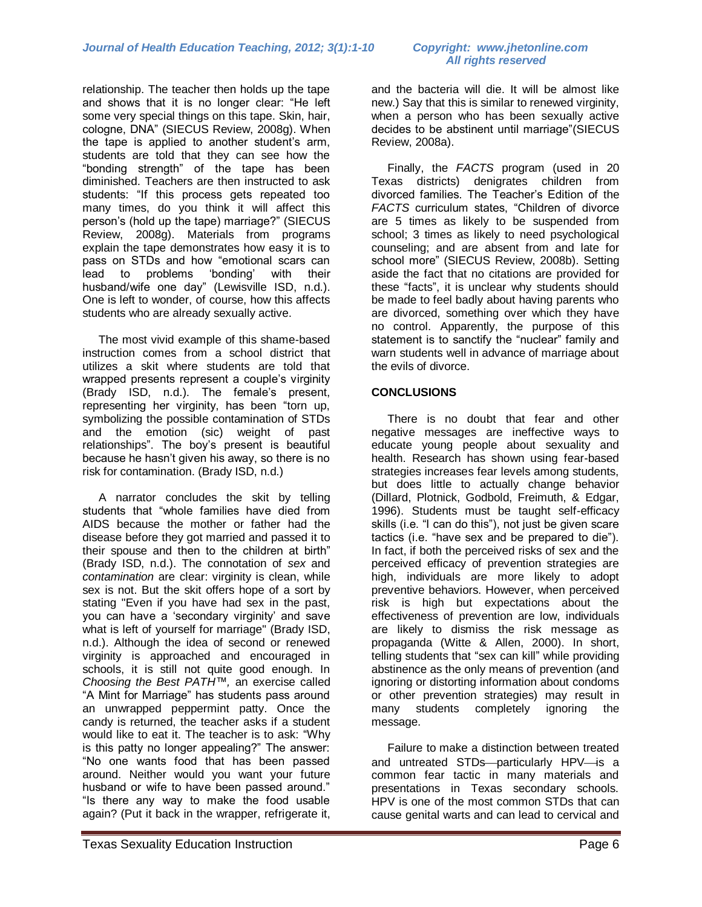relationship. The teacher then holds up the tape and shows that it is no longer clear: "He left some very special things on this tape. Skin, hair, cologne, DNA" (SIECUS Review, 2008g). When the tape is applied to another student's arm, students are told that they can see how the "bonding strength" of the tape has been diminished. Teachers are then instructed to ask students: "If this process gets repeated too many times, do you think it will affect this person's (hold up the tape) marriage?" (SIECUS Review, 2008g). Materials from programs explain the tape demonstrates how easy it is to pass on STDs and how "emotional scars can lead to problems 'bonding' with their husband/wife one day" (Lewisville ISD, n.d.). One is left to wonder, of course, how this affects students who are already sexually active.

 The most vivid example of this shame-based instruction comes from a school district that utilizes a skit where students are told that wrapped presents represent a couple's virginity (Brady ISD, n.d.). The female's present, representing her virginity, has been "torn up, symbolizing the possible contamination of STDs and the emotion (sic) weight of past relationships". The boy's present is beautiful because he hasn't given his away, so there is no risk for contamination. (Brady ISD, n.d.)

 A narrator concludes the skit by telling students that "whole families have died from AIDS because the mother or father had the disease before they got married and passed it to their spouse and then to the children at birth" (Brady ISD, n.d.). The connotation of *sex* and *contamination* are clear: virginity is clean, while sex is not. But the skit offers hope of a sort by stating "Even if you have had sex in the past, you can have a 'secondary virginity' and save what is left of yourself for marriage" (Brady ISD, n.d.). Although the idea of second or renewed virginity is approached and encouraged in schools, it is still not quite good enough. In *Choosing the Best PATH™,* an exercise called "A Mint for Marriage" has students pass around an unwrapped peppermint patty. Once the candy is returned, the teacher asks if a student would like to eat it. The teacher is to ask: "Why is this patty no longer appealing?" The answer: ―No one wants food that has been passed around. Neither would you want your future husband or wife to have been passed around." "Is there any way to make the food usable again? (Put it back in the wrapper, refrigerate it,

# *All rights reserved*

and the bacteria will die. It will be almost like new.) Say that this is similar to renewed virginity, when a person who has been sexually active decides to be abstinent until marriage" (SIECUS Review, 2008a).

 Finally, the *FACTS* program (used in 20 Texas districts) denigrates children from divorced families. The Teacher's Edition of the FACTS curriculum states, "Children of divorce are 5 times as likely to be suspended from school; 3 times as likely to need psychological counseling; and are absent from and late for school more" (SIECUS Review, 2008b). Setting aside the fact that no citations are provided for these "facts", it is unclear why students should be made to feel badly about having parents who are divorced, something over which they have no control. Apparently, the purpose of this statement is to sanctify the "nuclear" family and warn students well in advance of marriage about the evils of divorce.

### **CONCLUSIONS**

There is no doubt that fear and other negative messages are ineffective ways to educate young people about sexuality and health. Research has shown using fear-based strategies increases fear levels among students, but does little to actually change behavior (Dillard, Plotnick, Godbold, Freimuth, & Edgar, 1996). Students must be taught self-efficacy skills (i.e. "I can do this"), not just be given scare tactics (i.e. "have sex and be prepared to die"). In fact, if both the perceived risks of sex and the perceived efficacy of prevention strategies are high, individuals are more likely to adopt preventive behaviors. However, when perceived risk is high but expectations about the effectiveness of prevention are low, individuals are likely to dismiss the risk message as propaganda (Witte & Allen, 2000). In short, telling students that "sex can kill" while providing abstinence as the only means of prevention (and ignoring or distorting information about condoms or other prevention strategies) may result in many students completely ignoring the message.

Failure to make a distinction between treated and untreated STDs-particularly HPV-is a common fear tactic in many materials and presentations in Texas secondary schools. HPV is one of the most common STDs that can cause genital warts and can lead to cervical and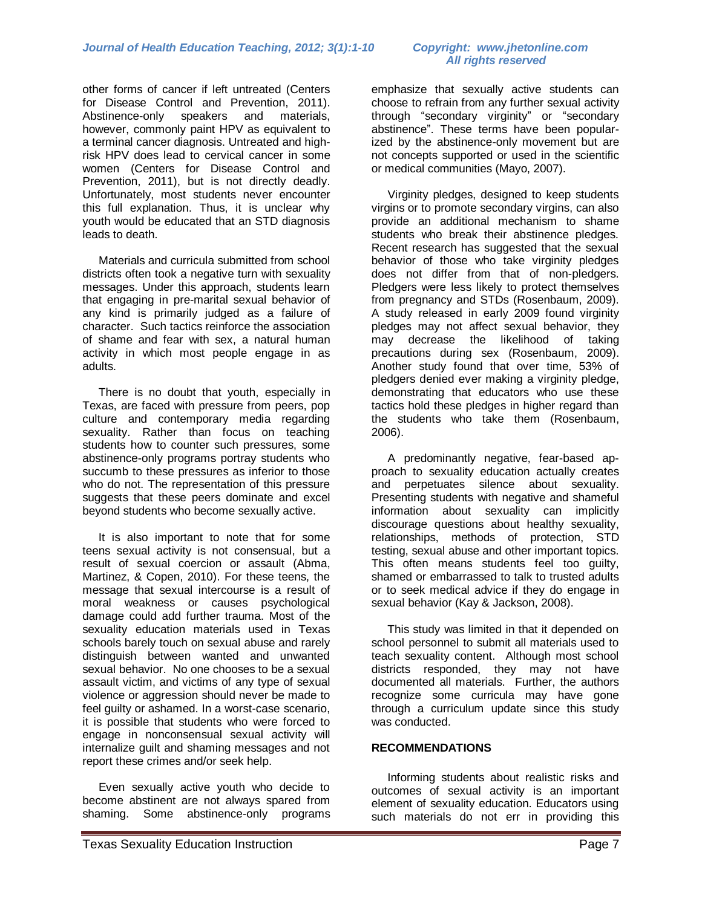other forms of cancer if left untreated (Centers for Disease Control and Prevention, 2011). Abstinence-only speakers and materials, however, commonly paint HPV as equivalent to a terminal cancer diagnosis. Untreated and highrisk HPV does lead to cervical cancer in some women (Centers for Disease Control and Prevention, 2011), but is not directly deadly. Unfortunately, most students never encounter this full explanation. Thus, it is unclear why youth would be educated that an STD diagnosis leads to death.

Materials and curricula submitted from school districts often took a negative turn with sexuality messages. Under this approach, students learn that engaging in pre-marital sexual behavior of any kind is primarily judged as a failure of character. Such tactics reinforce the association of shame and fear with sex, a natural human activity in which most people engage in as adults.

 There is no doubt that youth, especially in Texas, are faced with pressure from peers, pop culture and contemporary media regarding sexuality. Rather than focus on teaching students how to counter such pressures, some abstinence-only programs portray students who succumb to these pressures as inferior to those who do not. The representation of this pressure suggests that these peers dominate and excel beyond students who become sexually active.

It is also important to note that for some teens sexual activity is not consensual, but a result of sexual coercion or assault (Abma, Martinez, & Copen, 2010). For these teens, the message that sexual intercourse is a result of moral weakness or causes psychological damage could add further trauma. Most of the sexuality education materials used in Texas schools barely touch on sexual abuse and rarely distinguish between wanted and unwanted sexual behavior. No one chooses to be a sexual assault victim, and victims of any type of sexual violence or aggression should never be made to feel guilty or ashamed. In a worst-case scenario, it is possible that students who were forced to engage in nonconsensual sexual activity will internalize guilt and shaming messages and not report these crimes and/or seek help.

Even sexually active youth who decide to become abstinent are not always spared from shaming. Some abstinence-only programs

# *All rights reserved*

emphasize that sexually active students can choose to refrain from any further sexual activity through "secondary virginity" or "secondary abstinence". These terms have been popularized by the abstinence-only movement but are not concepts supported or used in the scientific or medical communities (Mayo, 2007).

Virginity pledges, designed to keep students virgins or to promote secondary virgins, can also provide an additional mechanism to shame students who break their abstinence pledges. Recent research has suggested that the sexual behavior of those who take virginity pledges does not differ from that of non-pledgers. Pledgers were less likely to protect themselves from pregnancy and STDs (Rosenbaum, 2009). A study released in early 2009 found virginity pledges may not affect sexual behavior, they may decrease the likelihood of taking precautions during sex (Rosenbaum, 2009). Another study found that over time, 53% of pledgers denied ever making a virginity pledge, demonstrating that educators who use these tactics hold these pledges in higher regard than the students who take them (Rosenbaum, 2006).

 A predominantly negative, fear-based approach to sexuality education actually creates and perpetuates silence about sexuality. Presenting students with negative and shameful information about sexuality can implicitly discourage questions about healthy sexuality, relationships, methods of protection, STD testing, sexual abuse and other important topics. This often means students feel too guilty, shamed or embarrassed to talk to trusted adults or to seek medical advice if they do engage in sexual behavior (Kay & Jackson, 2008).

This study was limited in that it depended on school personnel to submit all materials used to teach sexuality content. Although most school districts responded, they may not have documented all materials. Further, the authors recognize some curricula may have gone through a curriculum update since this study was conducted.

### **RECOMMENDATIONS**

 Informing students about realistic risks and outcomes of sexual activity is an important element of sexuality education. Educators using such materials do not err in providing this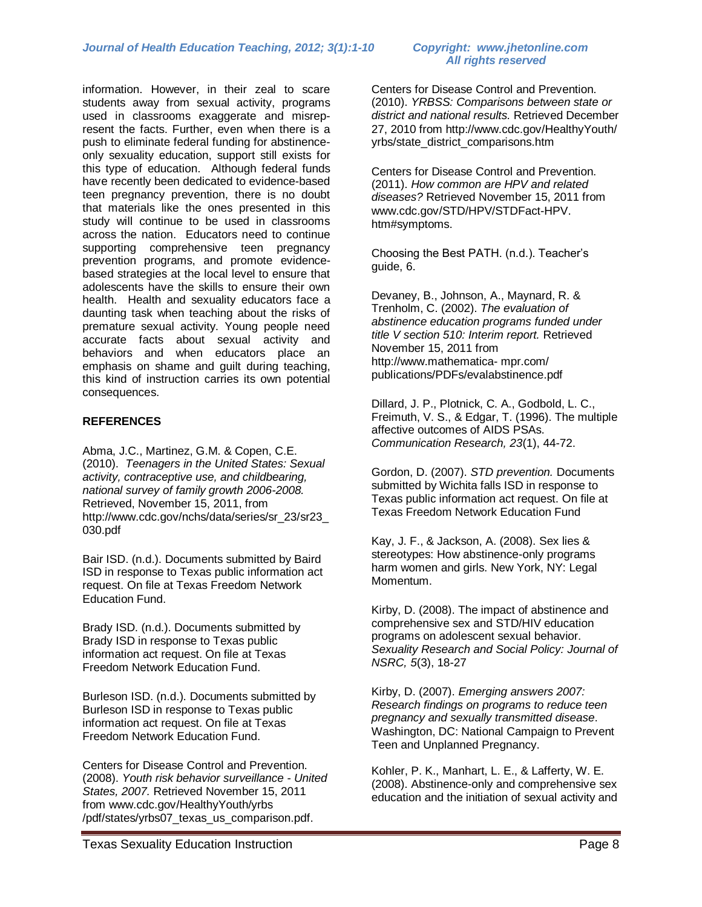information. However, in their zeal to scare students away from sexual activity, programs used in classrooms exaggerate and misrepresent the facts. Further, even when there is a push to eliminate federal funding for abstinenceonly sexuality education, support still exists for this type of education. Although federal funds have recently been dedicated to evidence-based teen pregnancy prevention, there is no doubt that materials like the ones presented in this study will continue to be used in classrooms across the nation. Educators need to continue supporting comprehensive teen pregnancy prevention programs, and promote evidencebased strategies at the local level to ensure that adolescents have the skills to ensure their own health. Health and sexuality educators face a daunting task when teaching about the risks of premature sexual activity. Young people need accurate facts about sexual activity and behaviors and when educators place an emphasis on shame and guilt during teaching, this kind of instruction carries its own potential consequences.

### **REFERENCES**

Abma, J.C., Martinez, G.M. & Copen, C.E. (2010). *Teenagers in the United States: Sexual activity, contraceptive use, and childbearing, national survey of family growth 2006-2008.*  Retrieved, November 15, 2011, from http://www.cdc.gov/nchs/data/series/sr\_23/sr23\_ 030.pdf

Bair ISD. (n.d.). Documents submitted by Baird ISD in response to Texas public information act request. On file at Texas Freedom Network Education Fund.

Brady ISD. (n.d.). Documents submitted by Brady ISD in response to Texas public information act request. On file at Texas Freedom Network Education Fund.

Burleson ISD. (n.d.). Documents submitted by Burleson ISD in response to Texas public information act request. On file at Texas Freedom Network Education Fund.

Centers for Disease Control and Prevention. (2008). *Youth risk behavior surveillance - United States, 2007.* Retrieved November 15, 2011 from [www.cdc.gov/HealthyYouth/yrbs](http://www.cdc.gov/HealthyYouth/yrbs%20/pdf/states/yrbs07_texas_us_comparison.pdf)  [/pdf/states/yrbs07\\_texas\\_us\\_comparison.pdf.](http://www.cdc.gov/HealthyYouth/yrbs%20/pdf/states/yrbs07_texas_us_comparison.pdf)

# *All rights reserved*

Centers for Disease Control and Prevention. (2010). *YRBSS: Comparisons between state or district and national results.* Retrieved December 27, 2010 from [http://www.cdc.gov/HealthyYouth/](http://www.cdc.gov/HealthyYouth/%20yrbs/state_district_comparisons.htm)  [yrbs/state\\_district\\_comparisons.htm](http://www.cdc.gov/HealthyYouth/%20yrbs/state_district_comparisons.htm)

Centers for Disease Control and Prevention. (2011). *How common are HPV and related diseases?* Retrieved November 15, 2011 from [www.cdc.gov/STD/HPV/STDFact-HPV.](http://www.cdc.gov/STD/HPV/STDFact-HPV.%20htm#symptoms)  [htm#symptoms.](http://www.cdc.gov/STD/HPV/STDFact-HPV.%20htm#symptoms)

Choosing the Best PATH. (n.d.). Teacher's guide, 6.

Devaney, B., Johnson, A., Maynard, R. & Trenholm, C. (2002). *The evaluation of abstinence education programs funded under title V section 510: Interim report.* Retrieved November 15, 2011 from http://www.mathematica- mpr.com/ publications/PDFs/evalabstinence.pdf

Dillard, J. P., Plotnick, C. A., Godbold, L. C., Freimuth, V. S., & Edgar, T. (1996). The multiple affective outcomes of AIDS PSAs. *Communication Research, 23*(1), 44-72.

Gordon, D. (2007). *STD prevention.* Documents submitted by Wichita falls ISD in response to Texas public information act request. On file at Texas Freedom Network Education Fund

Kay, J. F., & Jackson, A. (2008). Sex lies & stereotypes: How abstinence-only programs harm women and girls. New York, NY: Legal Momentum.

Kirby, D. (2008). The impact of abstinence and comprehensive sex and STD/HIV education programs on adolescent sexual behavior. *Sexuality Research and Social Policy: Journal of NSRC, 5*(3), 18-27

Kirby, D. (2007). *Emerging answers 2007: Research findings on programs to reduce teen pregnancy and sexually transmitted disease*. Washington, DC: National Campaign to Prevent Teen and Unplanned Pregnancy.

Kohler, P. K., Manhart, L. E., & Lafferty, W. E. (2008). Abstinence-only and comprehensive sex education and the initiation of sexual activity and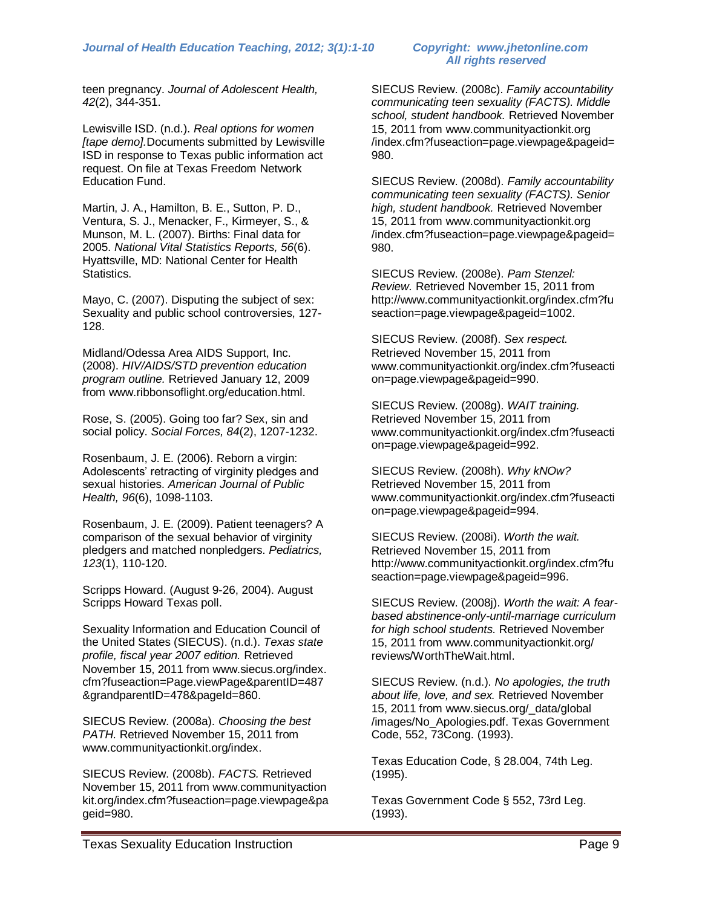teen pregnancy. *Journal of Adolescent Health, 42*(2), 344-351.

Lewisville ISD. (n.d.). *Real options for women [tape demo].*Documents submitted by Lewisville ISD in response to Texas public information act request. On file at Texas Freedom Network Education Fund.

Martin, J. A., Hamilton, B. E., Sutton, P. D., Ventura, S. J., Menacker, F., Kirmeyer, S., & Munson, M. L. (2007). Births: Final data for 2005. *National Vital Statistics Reports, 56*(6). Hyattsville, MD: National Center for Health Statistics.

Mayo, C. (2007). Disputing the subject of sex: Sexuality and public school controversies, 127- 128.

Midland/Odessa Area AIDS Support, Inc. (2008). *HIV/AIDS/STD prevention education program outline.* Retrieved January 12, 2009 from [www.ribbonsoflight.org/education.html.](http://www.ribbonsoflight.org/education.html)

Rose, S. (2005). Going too far? Sex, sin and social policy. *Social Forces, 84*(2), 1207-1232.

Rosenbaum, J. E. (2006). Reborn a virgin: Adolescents' retracting of virginity pledges and sexual histories. *American Journal of Public Health, 96*(6), 1098-1103.

Rosenbaum, J. E. (2009). Patient teenagers? A comparison of the sexual behavior of virginity pledgers and matched nonpledgers. *Pediatrics, 123*(1), 110-120.

Scripps Howard. (August 9-26, 2004). August Scripps Howard Texas poll.

Sexuality Information and Education Council of the United States (SIECUS). (n.d.). *Texas state profile, fiscal year 2007 edition.* Retrieved November 15, 2011 from [www.siecus.org/index.](http://www.siecus.org/index.%20cfm?fuseaction=Page.viewPage&parentID=487&grandparentID=478&pageId=860)  [cfm?fuseaction=Page.viewPage&parentID=487](http://www.siecus.org/index.%20cfm?fuseaction=Page.viewPage&parentID=487&grandparentID=478&pageId=860) [&grandparentID=478&pageId=860.](http://www.siecus.org/index.%20cfm?fuseaction=Page.viewPage&parentID=487&grandparentID=478&pageId=860)

SIECUS Review. (2008a). *Choosing the best PATH.* Retrieved November 15, 2011 from [www.communityactionkit.org/index.](http://www.communityactionkit.org/index)

SIECUS Review. (2008b). *FACTS.* Retrieved November 15, 2011 from www.communityaction kit.org/index.cfm?fuseaction=page.viewpage&pa geid=980.

SIECUS Review. (2008c). *Family accountability communicating teen sexuality (FACTS). Middle school, student handbook.* Retrieved November 15, 2011 from www.communityactionkit.org /index.cfm?fuseaction=page.viewpage&pageid= 980.

SIECUS Review. (2008d). *Family accountability communicating teen sexuality (FACTS). Senior high, student handbook.* Retrieved November 15, 2011 from www.communityactionkit.org /index.cfm?fuseaction=page.viewpage&pageid= 980.

SIECUS Review. (2008e). *Pam Stenzel: Review.* Retrieved November 15, 2011 from [http://www.communityactionkit.org/index.cfm?fu](http://www.communityactionkit.org/index.cfm?fuseaction=page.viewpage&pageid=1002) [seaction=page.viewpage&pageid=1002.](http://www.communityactionkit.org/index.cfm?fuseaction=page.viewpage&pageid=1002)

SIECUS Review. (2008f). *Sex respect.* Retrieved November 15, 2011 from [www.communityactionkit.org/index.cfm?fuseacti](http://www.communityactionkit.org/index.cfm?fuseaction=page.viewpage&pageid=990) [on=page.viewpage&pageid=990.](http://www.communityactionkit.org/index.cfm?fuseaction=page.viewpage&pageid=990)

SIECUS Review. (2008g). *WAIT training.* Retrieved November 15, 2011 from [www.communityactionkit.org/index.cfm?fuseacti](http://www.communityactionkit.org/index.cfm?fuseaction=page.viewpage&pageid=992) [on=page.viewpage&pageid=992.](http://www.communityactionkit.org/index.cfm?fuseaction=page.viewpage&pageid=992)

SIECUS Review. (2008h). *Why kNOw?* Retrieved November 15, 2011 from [www.communityactionkit.org/index.cfm?fuseacti](http://www.communityactionkit.org/index.cfm?fuseaction=page.viewpage&pageid=994) [on=page.viewpage&pageid=994.](http://www.communityactionkit.org/index.cfm?fuseaction=page.viewpage&pageid=994)

SIECUS Review. (2008i). *Worth the wait.* Retrieved November 15, 2011 from [http://www.communityactionkit.org/index.cfm?fu](http://www.communityactionkit.org/index.cfm?fuseaction=page.viewpage&pageid=996) [seaction=page.viewpage&pageid=996.](http://www.communityactionkit.org/index.cfm?fuseaction=page.viewpage&pageid=996)

SIECUS Review. (2008j). *Worth the wait: A fearbased abstinence-only-until-marriage curriculum for high school students.* Retrieved November 15, 2011 from [www.communityactionkit.org/](http://www.communityactionkit.org/) reviews/WorthTheWait.html.

SIECUS Review. (n.d.). *No apologies, the truth about life, love, and sex.* Retrieved November 15, 2011 from [www.siecus.org/\\_data/global](http://www.siecus.org/_data/global%20/images)  [/images/](http://www.siecus.org/_data/global%20/images)No\_Apologies.pdf. Texas Government Code, 552, 73Cong. (1993).

Texas Education Code, § 28.004, 74th Leg. (1995).

Texas Government Code § 552, 73rd Leg. (1993).